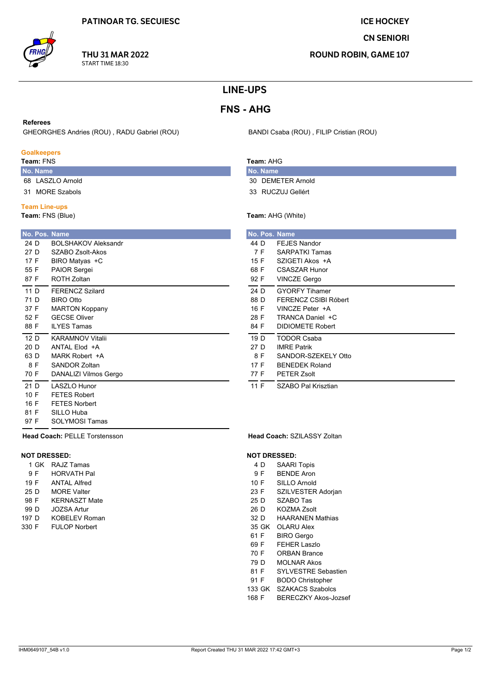## **ICE HOCKEY**

**CN SENIORI** 

**ROUND ROBIN, GAME 107** 

# **LINE-UPS**

# **FNS - AHG**

#### **Referees**

GHEORGHES Andries (ROU), RADU Gabriel (ROU)

### **Goalkeepers**

Team: FNS

- No. Name 68 LASZLO Arnold
- 31 MORE Szabols

### **Team Line-ups**

Team: FNS (Blue)

|                 | No. Pos. Name               |  |
|-----------------|-----------------------------|--|
| 24 D            | <b>BOI SHAKOV Aleksandr</b> |  |
| 27 D            | SZABO Zsolt-Akos            |  |
| 17 F            | BIRO Matyas +C              |  |
| 55 F            | <b>PAIOR Sergei</b>         |  |
| 87 F            | ROTH Zoltan                 |  |
| 11 <sub>D</sub> | <b>FFRENCZ Szilard</b>      |  |
| 71 D            | <b>BIRO Otto</b>            |  |
| 37 F            | <b>MARTON Koppany</b>       |  |
| 52 F            | <b>GECSE Oliver</b>         |  |
| 88 F            | <b>II YES Tamas</b>         |  |
| 12 D            | <b>KARAMNOV Vitalii</b>     |  |
| 20 D            | ANTAI Flod +A               |  |
| 63 D            | MARK Robert +A              |  |
| 8 F             | SANDOR Zoltan               |  |
| 70 F            | DANALIZI Vilmos Gergo       |  |
| 21 D            | LASZLO Hunor                |  |
| 10 F            | <b>FETES Robert</b>         |  |
| 16 F            | <b>FFTFS Norbert</b>        |  |
| 81 F            | SILLO Huba                  |  |
| 97 F            | SOLYMOSI Tamas              |  |

**Head Coach: PELLE Torstensson** 

## **NOT DRESSED:**

1 GK RAJZ Tamas 9 F **HORVATH Pal ANTAL Alfred** 19 F 25 D **MORE Valter** 98 F **KERNASZT Mate** 99 D **JOZSA Artur** 197 D **KOBELEV Roman FULOP Norbert** 330 F

BANDI Csaba (ROU), FILIP Cristian (ROU)

## Team: AHG

- No. Name 30 DEMETER Arnold
- 33 RUCZUJ Gellért

## Team: AHG (White)

|      | No. Pos. Name           |
|------|-------------------------|
| 44 D | <b>FEJES Nandor</b>     |
| 7 F  | <b>SARPATKI Tamas</b>   |
| 15 F | SZIGETI Akos +A         |
| 68 F | CSASZAR Hunor           |
| 92 F | <b>VINCZE Gergo</b>     |
| 24 D | <b>GYORFY Tihamer</b>   |
| 88 D | FERENCZ CSIBI Róbert    |
| 16 F | VINCZE Peter +A         |
| 28 F | TRANCA Daniel +C        |
| 84 F | <b>DIDIOMETE Robert</b> |
| 19 D | <b>TODOR Csaba</b>      |
| 27 D | <b>IMRE Patrik</b>      |
| 8 F  | SANDOR-SZEKELY Otto     |
| 17 F | <b>BENEDEK Roland</b>   |
| 77 F | <b>PETER Zsolt</b>      |
| 11 F | SZABO Pal Krisztian     |

#### Head Coach: SZILASSY Zoltan

#### **NOT DRESSED:**

- 4 D **SAARI Topis**
- 9F **BENDE Aron**
- 10 F SILLO Arnold
- 23 F SZILVESTER Adorjan
- 25 D SZABO Tas
- **KOZMA Zsolt** 26 D
- **HAARANEN Mathias** 32 D
- 35 GK OLARU Alex 61 F **BIRO** Gergo
- 69 F **FEHER Laszlo**
- 70 F **ORBAN Brance**
- 79 D **MOLNAR Akos**
- SYLVESTRE Sebastien 81 F
- 91 F **BODO Christopher**
- 133 GK SZAKACS Szabolcs
- 168 F **BERECZKY Akos-Jozsef**